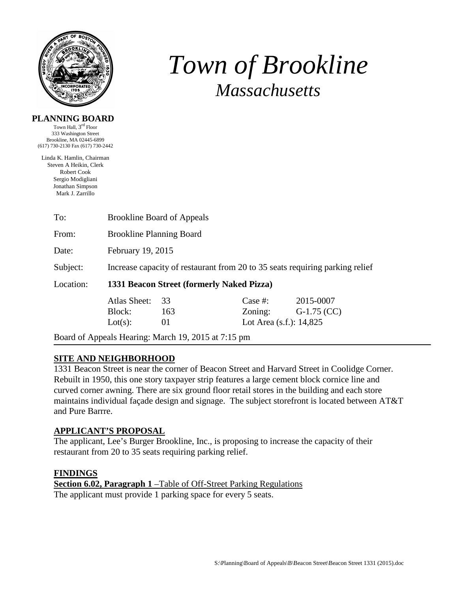

# *Town of Brookline Massachusetts*

#### **PLANNING BOARD**

Town Hall, 3rd Floor 333 Washington Street Brookline, MA 02445-6899 (617) 730-2130 Fax (617) 730-2442

Linda K. Hamlin, Chairman Steven A Heikin, Clerk Robert Cook Sergio Modigliani Jonathan Simpson Mark J. Zarrillo

| To:       | <b>Brookline Board of Appeals</b>                                            |     |                            |               |  |
|-----------|------------------------------------------------------------------------------|-----|----------------------------|---------------|--|
| From:     | <b>Brookline Planning Board</b>                                              |     |                            |               |  |
| Date:     | February 19, 2015                                                            |     |                            |               |  |
| Subject:  | Increase capacity of restaurant from 20 to 35 seats requiring parking relief |     |                            |               |  |
| Location: | 1331 Beacon Street (formerly Naked Pizza)                                    |     |                            |               |  |
|           | Atlas Sheet:                                                                 | 33  | Case #:                    | 2015-0007     |  |
|           | Block:                                                                       | 163 | Zoning:                    | $G-1.75$ (CC) |  |
|           | Lot(s):                                                                      | 01  | Lot Area $(s.f.)$ : 14,825 |               |  |
|           | $\cdots$                                                                     |     |                            |               |  |

Board of Appeals Hearing: March 19, 2015 at 7:15 pm

## **SITE AND NEIGHBORHOOD**

1331 Beacon Street is near the corner of Beacon Street and Harvard Street in Coolidge Corner. Rebuilt in 1950, this one story taxpayer strip features a large cement block cornice line and curved corner awning. There are six ground floor retail stores in the building and each store maintains individual façade design and signage. The subject storefront is located between AT&T and Pure Barrre.

#### **APPLICANT'S PROPOSAL**

The applicant, Lee's Burger Brookline, Inc., is proposing to increase the capacity of their restaurant from 20 to 35 seats requiring parking relief.

#### **FINDINGS**

**Section 6.02, Paragraph 1** –Table of Off-Street Parking Regulations The applicant must provide 1 parking space for every 5 seats.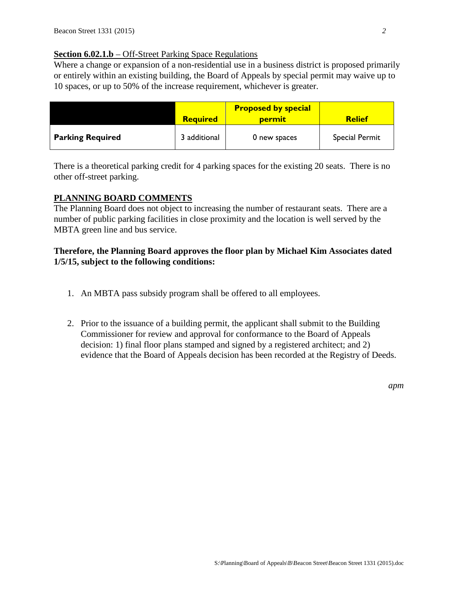#### **Section 6.02.1.b** – Off-Street Parking Space Regulations

Where a change or expansion of a non-residential use in a business district is proposed primarily or entirely within an existing building, the Board of Appeals by special permit may waive up to 10 spaces, or up to 50% of the increase requirement, whichever is greater.

|                         | <b>Required</b> | <b>Proposed by special</b><br><b>permit</b> | <b>Relief</b>  |
|-------------------------|-----------------|---------------------------------------------|----------------|
| <b>Parking Required</b> | 3 additional    | 0 new spaces                                | Special Permit |

There is a theoretical parking credit for 4 parking spaces for the existing 20 seats. There is no other off-street parking.

#### **PLANNING BOARD COMMENTS**

The Planning Board does not object to increasing the number of restaurant seats. There are a number of public parking facilities in close proximity and the location is well served by the MBTA green line and bus service.

## **Therefore, the Planning Board approves the floor plan by Michael Kim Associates dated 1/5/15, subject to the following conditions:**

- 1. An MBTA pass subsidy program shall be offered to all employees.
- 2. Prior to the issuance of a building permit, the applicant shall submit to the Building Commissioner for review and approval for conformance to the Board of Appeals decision: 1) final floor plans stamped and signed by a registered architect; and 2) evidence that the Board of Appeals decision has been recorded at the Registry of Deeds.

*apm*